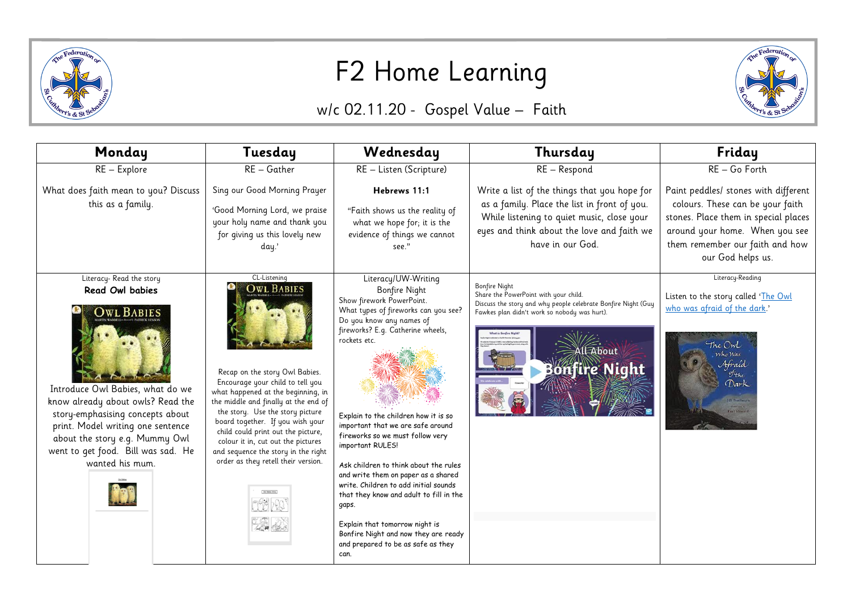

## F2 Home Learning

## w/c 02.11.20 - Gospel Value – Faith

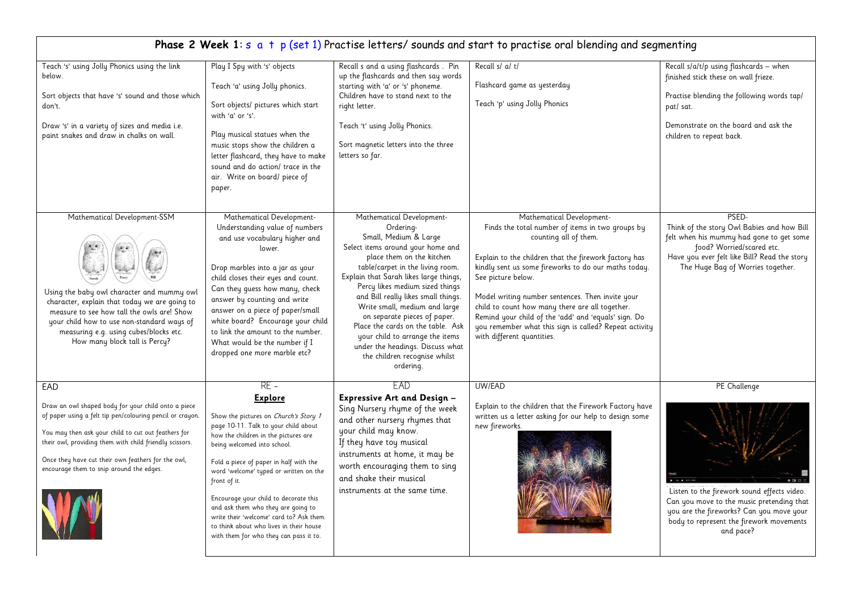| Phase 2 Week 1: s a t p (set 1) Practise letters/ sounds and start to practise oral blending and segmenting                                                                                                                                                                                                                                 |                                                                                                                                                                                                                                                                                                                                                                                                                                                                                                     |                                                                                                                                                                                                                                                                                                                                                                                                                                                                                                                      |                                                                                                                                                                                                                                                                                                                                                                                                                                                                                                      |                                                                                                                                                                                                                   |  |  |
|---------------------------------------------------------------------------------------------------------------------------------------------------------------------------------------------------------------------------------------------------------------------------------------------------------------------------------------------|-----------------------------------------------------------------------------------------------------------------------------------------------------------------------------------------------------------------------------------------------------------------------------------------------------------------------------------------------------------------------------------------------------------------------------------------------------------------------------------------------------|----------------------------------------------------------------------------------------------------------------------------------------------------------------------------------------------------------------------------------------------------------------------------------------------------------------------------------------------------------------------------------------------------------------------------------------------------------------------------------------------------------------------|------------------------------------------------------------------------------------------------------------------------------------------------------------------------------------------------------------------------------------------------------------------------------------------------------------------------------------------------------------------------------------------------------------------------------------------------------------------------------------------------------|-------------------------------------------------------------------------------------------------------------------------------------------------------------------------------------------------------------------|--|--|
| Teach 's' using Jolly Phonics using the link<br>below.<br>Sort objects that have 's' sound and those which<br>don't.<br>Draw 's' in a variety of sizes and media i.e.<br>paint snakes and draw in chalks on wall.                                                                                                                           | Play I Spy with 's' objects<br>Teach 'a' using Jolly phonics.<br>Sort objects/ pictures which start<br>with 'a' or 's'.<br>Play musical statues when the<br>music stops show the children a<br>letter flashcard, they have to make<br>sound and do action/ trace in the<br>air. Write on board/ piece of<br>paper.                                                                                                                                                                                  | Recall s and a using flashcards. Pin<br>up the flashcards and then say words<br>starting with 'a' or 's' phoneme.<br>Children have to stand next to the<br>right letter.<br>Teach 't' using Jolly Phonics.<br>Sort magnetic letters into the three<br>letters so far.                                                                                                                                                                                                                                                | Recall s/ a/ t/<br>Flashcard game as yesterday<br>Teach 'p' using Jolly Phonics                                                                                                                                                                                                                                                                                                                                                                                                                      | Recall s/a/t/p using flashcards - when<br>finished stick these on wall frieze.<br>Practise blending the following words tap/<br>pat/ sat.<br>Demonstrate on the board and ask the<br>children to repeat back.     |  |  |
| Mathematical Development-SSM<br>Using the baby owl character and mummy owl<br>character, explain that today we are going to<br>measure to see how tall the owls are! Show<br>your child how to use non-standard ways of<br>measuring e.g. using cubes/blocks etc.<br>How many block tall is Percy?                                          | Mathematical Development-<br>Understanding value of numbers<br>and use vocabulary higher and<br>lower.<br>Drop marbles into a jar as your<br>child closes their eyes and count.<br>Can they guess how many, check<br>answer by counting and write<br>answer on a piece of paper/small<br>white board? Encourage your child<br>to link the amount to the number.<br>What would be the number if I<br>dropped one more marble etc?                                                                    | Mathematical Development-<br>Ordering-<br>Small, Medium & Large<br>Select items around your home and<br>place them on the kitchen<br>table/carpet in the living room.<br>Explain that Sarah likes large things,<br>Percy likes medium sized things<br>and Bill really likes small things.<br>Write small, medium and large<br>on separate pieces of paper.<br>Place the cards on the table. Ask<br>your child to arrange the items<br>under the headings. Discuss what<br>the children recognise whilst<br>ordering. | Mathematical Development-<br>Finds the total number of items in two groups by<br>counting all of them.<br>Explain to the children that the firework factory has<br>kindly sent us some fireworks to do our maths today.<br>See picture below.<br>Model writing number sentences. Then invite your<br>child to count how many there are all together.<br>Remind your child of the 'add' and 'equals' sign. Do<br>you remember what this sign is called? Repeat activity<br>with different quantities. | PSED-<br>Think of the story Owl Babies and how Bill<br>felt when his mummy had gone to get some<br>food? Worried/scared etc.<br>Have you ever felt like Bill? Read the story<br>The Huge Bag of Worries together. |  |  |
| EAD<br>Draw an owl shaped body for your child onto a piece<br>of paper using a felt tip pen/colouring pencil or crayon.<br>You may then ask your child to cut out feathers for<br>their owl, providing them with child friendly scissors.<br>Once they have cut their own feathers for the owl,<br>encourage them to snip around the edges. | $RE -$<br><b>Explore</b><br>Show the pictures on Church's Story 1<br>page 10-11. Talk to your child about<br>how the children in the pictures are<br>being welcomed into school.<br>Fold a piece of paper in half with the<br>word 'welcome' typed or written on the<br>front of it.<br>Encourage your child to decorate this<br>and ask them who they are going to<br>write their 'welcome' card to? Ask them<br>to think about who lives in their house<br>with them for who they can pass it to. | FAD<br>Expressive Art and Design -<br>Sing Nursery rhyme of the week<br>and other nursery rhymes that<br>your child may know.<br>If they have toy musical<br>instruments at home, it may be<br>worth encouraging them to sing<br>and shake their musical<br>instruments at the same time.                                                                                                                                                                                                                            | UW/EAD<br>Explain to the children that the Firework Factory have<br>written us a letter asking for our help to design some<br>new fireworks.                                                                                                                                                                                                                                                                                                                                                         | PE Challenge<br>Listen to the firework sound effects video.<br>Can you move to the music pretending that<br>you are the fireworks? Can you move your<br>body to represent the firework movements<br>and pace?     |  |  |